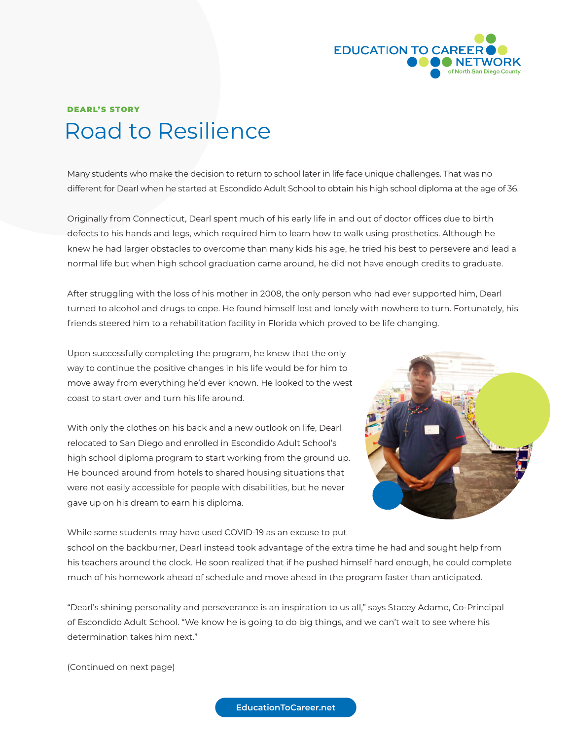

## Road to Resilience DEARL'S STORY

Many students who make the decision to return to school later in life face unique challenges. That was no different for Dearl when he started at Escondido Adult School to obtain his high school diploma at the age of 36.

Originally from Connecticut, Dearl spent much of his early life in and out of doctor offices due to birth defects to his hands and legs, which required him to learn how to walk using prosthetics. Although he knew he had larger obstacles to overcome than many kids his age, he tried his best to persevere and lead a normal life but when high school graduation came around, he did not have enough credits to graduate.

After struggling with the loss of his mother in 2008, the only person who had ever supported him, Dearl turned to alcohol and drugs to cope. He found himself lost and lonely with nowhere to turn. Fortunately, his friends steered him to a rehabilitation facility in Florida which proved to be life changing.

Upon successfully completing the program, he knew that the only way to continue the positive changes in his life would be for him to move away from everything he'd ever known. He looked to the west coast to start over and turn his life around.

With only the clothes on his back and a new outlook on life, Dearl relocated to San Diego and enrolled in Escondido Adult School's high school diploma program to start working from the ground up. He bounced around from hotels to shared housing situations that were not easily accessible for people with disabilities, but he never gave up on his dream to earn his diploma.



While some students may have used COVID-19 as an excuse to put school on the backburner, Dearl instead took advantage of the extra time he had and sought help from his teachers around the clock. He soon realized that if he pushed himself hard enough, he could complete much of his homework ahead of schedule and move ahead in the program faster than anticipated.

"Dearl's shining personality and perseverance is an inspiration to us all," says Stacey Adame, Co-Principal of Escondido Adult School. "We know he is going to do big things, and we can't wait to see where his determination takes him next."

(Continued on next page)